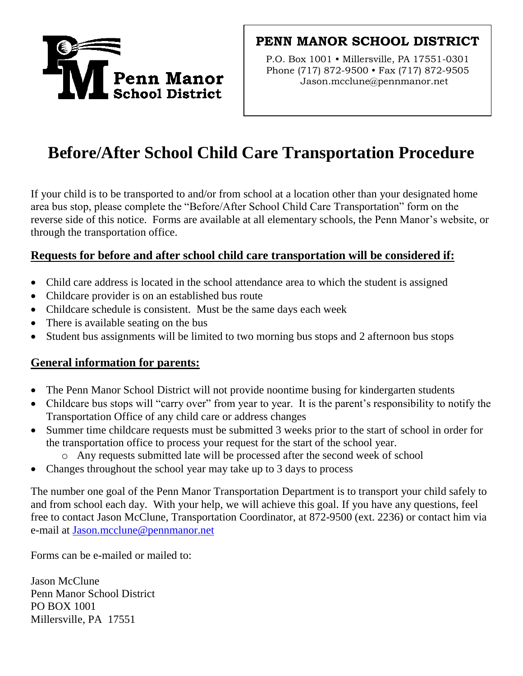

# **PENN MANOR SCHOOL DISTRICT**

P.O. Box 1001 • Millersville, PA 17551-0301 Phone (717) 872-9500 • Fax (717) 872-9505 Jason.mcclune@pennmanor.net

# **Before/After School Child Care Transportation Procedure**

If your child is to be transported to and/or from school at a location other than your designated home area bus stop, please complete the "Before/After School Child Care Transportation" form on the reverse side of this notice. Forms are available at all elementary schools, the Penn Manor's website, or through the transportation office.

## **Requests for before and after school child care transportation will be considered if:**

- Child care address is located in the school attendance area to which the student is assigned
- Childcare provider is on an established bus route
- Childcare schedule is consistent. Must be the same days each week
- There is available seating on the bus
- Student bus assignments will be limited to two morning bus stops and 2 afternoon bus stops

## **General information for parents:**

- The Penn Manor School District will not provide noontime busing for kindergarten students
- Childcare bus stops will "carry over" from year to year. It is the parent's responsibility to notify the Transportation Office of any child care or address changes
- Summer time childcare requests must be submitted 3 weeks prior to the start of school in order for the transportation office to process your request for the start of the school year.
	- o Any requests submitted late will be processed after the second week of school
- Changes throughout the school year may take up to 3 days to process

The number one goal of the Penn Manor Transportation Department is to transport your child safely to and from school each day. With your help, we will achieve this goal. If you have any questions, feel free to contact Jason McClune, Transportation Coordinator, at 872-9500 (ext. 2236) or contact him via e-mail at Jason.mcclune@pennmanor.net

Forms can be e-mailed or mailed to:

Jason McClune Penn Manor School District PO BOX 1001 Millersville, PA 17551